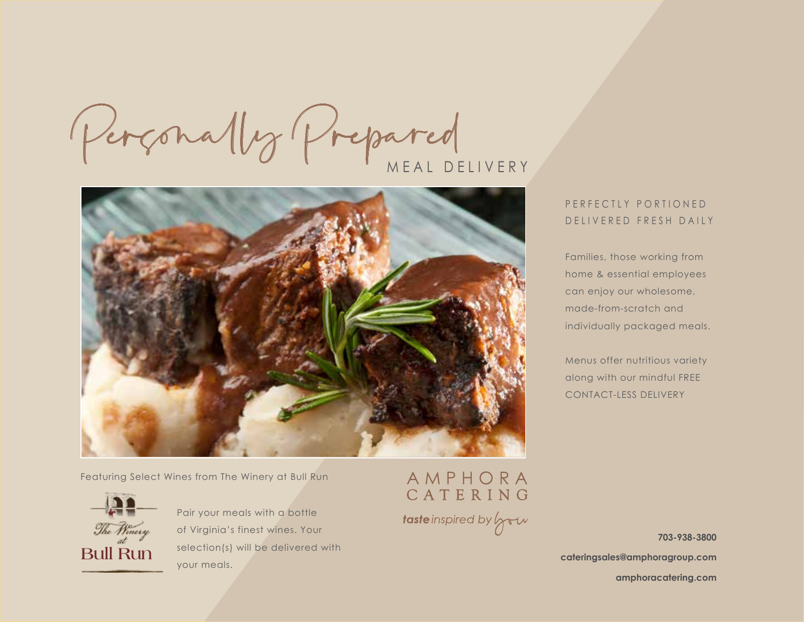Perçonally Prepared MEAL DELIVERY



Featuring Select Wines from The Winery at Bull Run



Pair your meals with a bottle of Virginia's finest wines. Your selection(s) will be delivered with your meals.

# AMPHORA<br>CATERING taste inspired by you

# PERFECTLY PORTIONED DELIVERED FRESH DAILY

Families, those working from home & essential employees can enjoy our wholesome, made-from-scratch and individually packaged meals.

Menus offer nutritious variety along with our mindful FREE CONTACT-LESS DELIVERY

**703-938-3800**

**cateringsales@amphoragroup.com**

**amphoracatering.com**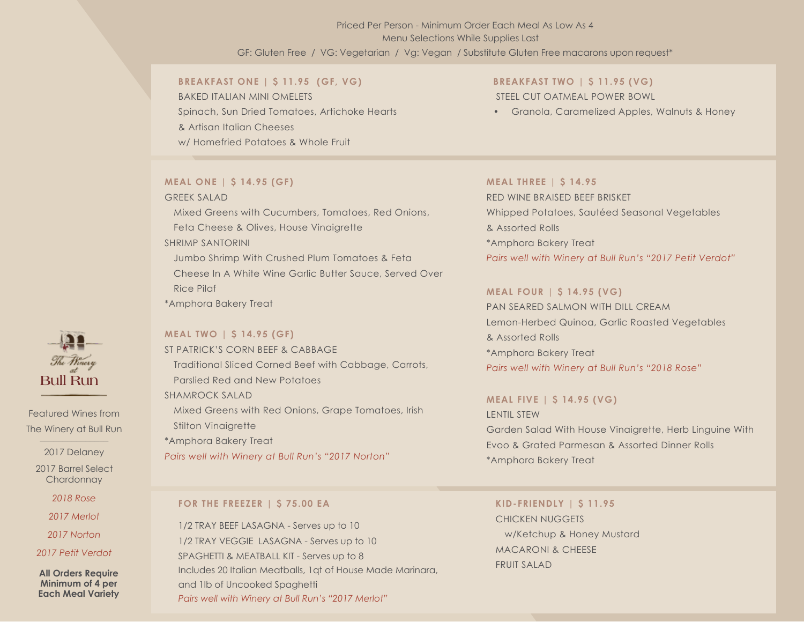# GF: Gluten Free / VG: Vegetarian / Vg: Vegan / Substitute Gluten Free macarons upon request\* Priced Per Person - Minimum Order Each Meal As Low As 4 Menu Selections While Supplies Last

#### **BREAKFAST ONE | \$ 11.95 (GF, VG)**

BAKED ITALIAN MINI OMELETS Spinach, Sun Dried Tomatoes, Artichoke Hearts & Artisan Italian Cheeses w/ Homefried Potatoes & Whole Fruit

#### **MEAL ONE | \$ 14.95 (GF)**

#### GREEK SALAD

Mixed Greens with Cucumbers, Tomatoes, Red Onions, Feta Cheese & Olives, House Vinaigrette SHRIMP SANTORINI Jumbo Shrimp With Crushed Plum Tomatoes & Feta Cheese In A White Wine Garlic Butter Sauce, Served Over Rice Pilaf

\*Amphora Bakery Treat

#### **MEAL TWO | \$ 14.95 (GF)**

ST PATRICK'S CORN BEEF & CABBAGE Traditional Sliced Corned Beef with Cabbage, Carrots, Parslied Red and New Potatoes SHAMROCK SALAD Mixed Greens with Red Onions, Grape Tomatoes, Irish Stilton Vinaigrette \*Amphora Bakery Treat *Pairs well with Winery at Bull Run's "2017 Norton"*

# **BREAKFAST TWO | \$ 11.95 (VG)** STEEL CUT OATMEAL POWER BOWL

• Granola, Caramelized Apples, Walnuts & Honey

#### **MEAL THREE | \$ 14.95**

RED WINE BRAISED BEEF BRISKET Whipped Potatoes, Sautéed Seasonal Vegetables & Assorted Rolls \*Amphora Bakery Treat *Pairs well with Winery at Bull Run's "2017 Petit Verdot"*

#### **MEAL FOUR | \$ 14.95 (VG)**

PAN SEARED SALMON WITH DILL CREAM Lemon-Herbed Quinoa, Garlic Roasted Vegetables & Assorted Rolls \*Amphora Bakery Treat *Pairs well with Winery at Bull Run's "2018 Rose"*

#### **MEAL FIVE | \$ 14.95 (VG)**

LENTIL STEW Garden Salad With House Vinaigrette, Herb Linguine With Evoo & Grated Parmesan & Assorted Dinner Rolls \*Amphora Bakery Treat

#### **FOR THE FREEZER | \$ 75.00 EA**

1/2 TRAY BEEF LASAGNA - Serves up to 10 1/2 TRAY VEGGIE LASAGNA - Serves up to 10 SPAGHETTI & MEATBALL KIT - Serves up to 8 Includes 20 Italian Meatballs, 1qt of House Made Marinara, and 1lb of Uncooked Spaghetti *Pairs well with Winery at Bull Run's "2017 Merlot"*

**KID-FRIENDLY | \$ 11.95** CHICKEN NUGGETS w/Ketchup & Honey Mustard MACARONI & CHEESE FRUIT SALAD



Featured Wines from The Winery at Bull Run

2017 Delaney

2017 Barrel Select **Chardonnay** 

*2018 Rose*

*2017 Merlot*

*2017 Norton*

*2017 Petit Verdot* 

**All Orders Require Minimum of 4 per Each Meal Variety**